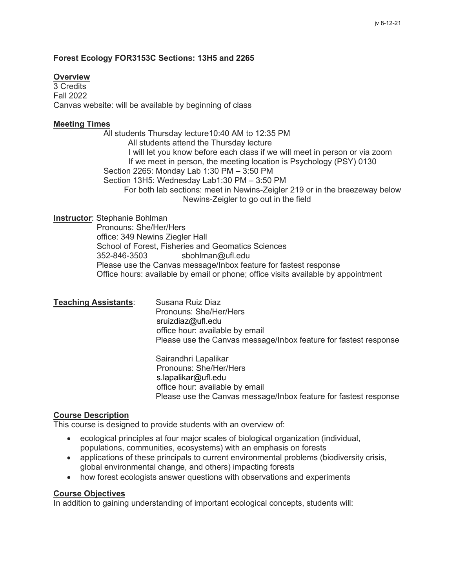### **Forest Ecology FOR3153C Sections: 13H5 and 2265**

# **Overview**

3 Credits Fall 2022 Canvas website: will be available by beginning of class

### **Meeting Times**

 All students Thursday lecture10:40 AM to 12:35 PM All students attend the Thursday lecture I will let you know before each class if we will meet in person or via zoom If we meet in person, the meeting location is Psychology (PSY) 0130 Section 2265: Monday Lab 1:30 PM – 3:50 PM Section 13H5: Wednesday Lab1:30 PM – 3:50 PM For both lab sections: meet in Newins-Zeigler 219 or in the breezeway below Newins-Zeigler to go out in the field

# **Instructor**: Stephanie Bohlman

 Pronouns: She/Her/Hers office: 349 Newins Ziegler Hall School of Forest, Fisheries and Geomatics Sciences 352-846-3503 sbohlman@ufl.edu Please use the Canvas message/Inbox feature for fastest response Office hours: available by email or phone; office visits available by appointment

### **Teaching Assistants**: Susana Ruiz Diaz

 Pronouns: She/Her/Hers sruizdiaz@ufl.edu office hour: available by email Please use the Canvas message/Inbox feature for fastest response

 Sairandhri Lapalikar Pronouns: She/Her/Hers s.lapalikar@ufl.edu office hour: available by email Please use the Canvas message/Inbox feature for fastest response

### **Course Description**

This course is designed to provide students with an overview of:

- ecological principles at four major scales of biological organization (individual, populations, communities, ecosystems) with an emphasis on forests
- applications of these principals to current environmental problems (biodiversity crisis, global environmental change, and others) impacting forests
- how forest ecologists answer questions with observations and experiments

### **Course Objectives**

In addition to gaining understanding of important ecological concepts, students will: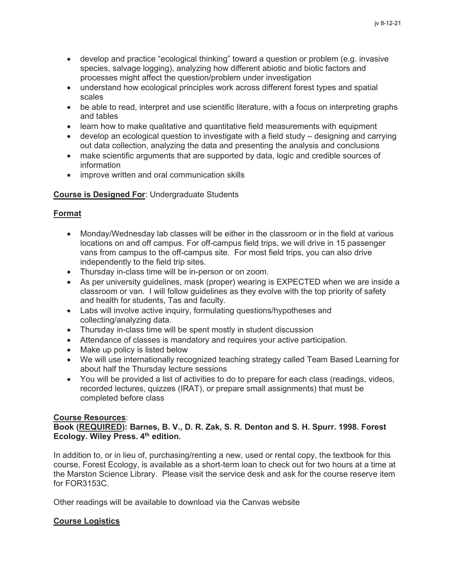- develop and practice "ecological thinking" toward a question or problem (e.g. invasive species, salvage logging), analyzing how different abiotic and biotic factors and processes might affect the question/problem under investigation
- understand how ecological principles work across different forest types and spatial scales
- be able to read, interpret and use scientific literature, with a focus on interpreting graphs and tables
- learn how to make qualitative and quantitative field measurements with equipment
- develop an ecological question to investigate with a field study designing and carrying out data collection, analyzing the data and presenting the analysis and conclusions
- make scientific arguments that are supported by data, logic and credible sources of information
- improve written and oral communication skills

# **Course is Designed For**: Undergraduate Students

# **Format**

- Monday/Wednesday lab classes will be either in the classroom or in the field at various locations on and off campus. For off-campus field trips, we will drive in 15 passenger vans from campus to the off-campus site. For most field trips, you can also drive independently to the field trip sites.
- Thursday in-class time will be in-person or on zoom.
- As per university quidelines, mask (proper) wearing is EXPECTED when we are inside a classroom or van. I will follow guidelines as they evolve with the top priority of safety and health for students, Tas and faculty.
- Labs will involve active inquiry, formulating questions/hypotheses and collecting/analyzing data.
- Thursday in-class time will be spent mostly in student discussion
- Attendance of classes is mandatory and requires your active participation.
- Make up policy is listed below
- We will use internationally recognized teaching strategy called Team Based Learning for about half the Thursday lecture sessions
- You will be provided a list of activities to do to prepare for each class (readings, videos, recorded lectures, quizzes (IRAT), or prepare small assignments) that must be completed before class

# **Course Resources**:

# **Book (REQUIRED): Barnes, B. V., D. R. Zak, S. R. Denton and S. H. Spurr. 1998. Forest Ecology. Wiley Press. 4th edition.**

In addition to, or in lieu of, purchasing/renting a new, used or rental copy, the textbook for this course, Forest Ecology, is available as a short-term loan to check out for two hours at a time at the Marston Science Library. Please visit the service desk and ask for the course reserve item for FOR3153C.

Other readings will be available to download via the Canvas website

# **Course Logistics**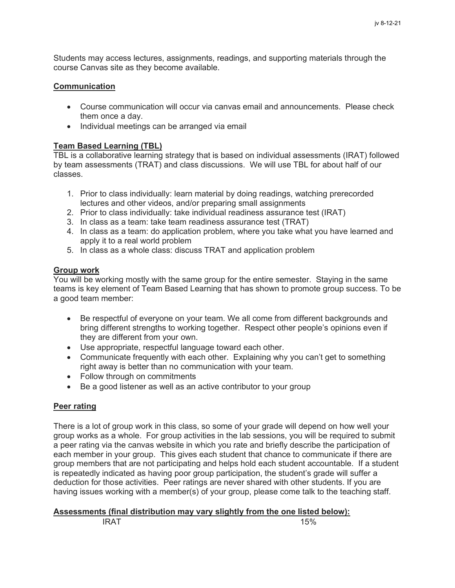Students may access lectures, assignments, readings, and supporting materials through the course Canvas site as they become available.

## **Communication**

- Course communication will occur via canvas email and announcements. Please check them once a day.
- Individual meetings can be arranged via email

## **Team Based Learning (TBL)**

TBL is a collaborative learning strategy that is based on individual assessments (IRAT) followed by team assessments (TRAT) and class discussions. We will use TBL for about half of our classes.

- 1. Prior to class individually: learn material by doing readings, watching prerecorded lectures and other videos, and/or preparing small assignments
- 2. Prior to class individually: take individual readiness assurance test (IRAT)
- 3. In class as a team: take team readiness assurance test (TRAT)
- 4. In class as a team: do application problem, where you take what you have learned and apply it to a real world problem
- 5. In class as a whole class: discuss TRAT and application problem

## **Group work**

You will be working mostly with the same group for the entire semester. Staying in the same teams is key element of Team Based Learning that has shown to promote group success. To be a good team member:

- Be respectful of everyone on your team. We all come from different backgrounds and bring different strengths to working together. Respect other people's opinions even if they are different from your own.
- Use appropriate, respectful language toward each other.
- Communicate frequently with each other. Explaining why you can't get to something right away is better than no communication with your team.
- Follow through on commitments
- Be a good listener as well as an active contributor to your group

# **Peer rating**

There is a lot of group work in this class, so some of your grade will depend on how well your group works as a whole. For group activities in the lab sessions, you will be required to submit a peer rating via the canvas website in which you rate and briefly describe the participation of each member in your group. This gives each student that chance to communicate if there are group members that are not participating and helps hold each student accountable. If a student is repeatedly indicated as having poor group participation, the student's grade will suffer a deduction for those activities. Peer ratings are never shared with other students. If you are having issues working with a member(s) of your group, please come talk to the teaching staff.

# **Assessments (final distribution may vary slightly from the one listed below):**

IRAT 15%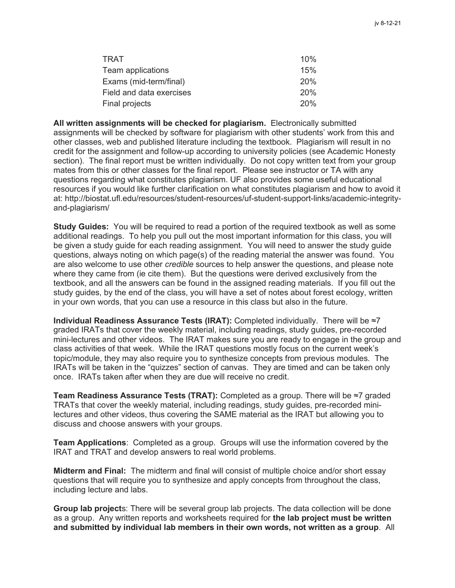| TRAT                     | 10% |
|--------------------------|-----|
| Team applications        | 15% |
| Exams (mid-term/final)   | 20% |
| Field and data exercises | 20% |
| Final projects           | 20% |

**All written assignments will be checked for plagiarism.** Electronically submitted assignments will be checked by software for plagiarism with other students' work from this and other classes, web and published literature including the textbook. Plagiarism will result in no credit for the assignment and follow-up according to university policies (see Academic Honesty section). The final report must be written individually. Do not copy written text from your group mates from this or other classes for the final report. Please see instructor or TA with any questions regarding what constitutes plagiarism. UF also provides some useful educational resources if you would like further clarification on what constitutes plagiarism and how to avoid it at: http://biostat.ufl.edu/resources/student-resources/uf-student-support-links/academic-integrityand-plagiarism/

**Study Guides:** You will be required to read a portion of the required textbook as well as some additional readings. To help you pull out the most important information for this class, you will be given a study guide for each reading assignment. You will need to answer the study guide questions, always noting on which page(s) of the reading material the answer was found. You are also welcome to use other *credible* sources to help answer the questions, and please note where they came from (ie cite them). But the questions were derived exclusively from the textbook, and all the answers can be found in the assigned reading materials. If you fill out the study guides, by the end of the class, you will have a set of notes about forest ecology, written in your own words, that you can use a resource in this class but also in the future.

**Individual Readiness Assurance Tests (IRAT):** Completed individually. There will be ≈7 graded IRATs that cover the weekly material, including readings, study guides, pre-recorded mini-lectures and other videos. The IRAT makes sure you are ready to engage in the group and class activities of that week. While the IRAT questions mostly focus on the current week's topic/module, they may also require you to synthesize concepts from previous modules. The IRATs will be taken in the "quizzes" section of canvas. They are timed and can be taken only once. IRATs taken after when they are due will receive no credit.

**Team Readiness Assurance Tests (TRAT):** Completed as a group. There will be ≈7 graded TRATs that cover the weekly material, including readings, study guides, pre-recorded minilectures and other videos, thus covering the SAME material as the IRAT but allowing you to discuss and choose answers with your groups.

**Team Applications**: Completed as a group. Groups will use the information covered by the IRAT and TRAT and develop answers to real world problems.

**Midterm and Final:** The midterm and final will consist of multiple choice and/or short essay questions that will require you to synthesize and apply concepts from throughout the class, including lecture and labs.

**Group lab project**s: There will be several group lab projects. The data collection will be done as a group. Any written reports and worksheets required for **the lab project must be written and submitted by individual lab members in their own words, not written as a group**. All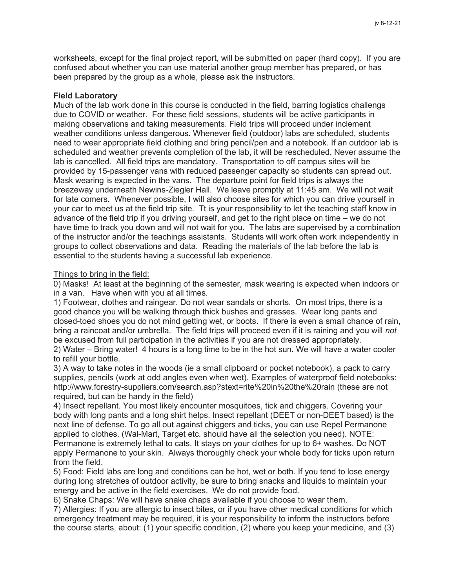worksheets, except for the final project report, will be submitted on paper (hard copy). If you are confused about whether you can use material another group member has prepared, or has been prepared by the group as a whole, please ask the instructors.

### **Field Laboratory**

Much of the lab work done in this course is conducted in the field, barring logistics challengs due to COVID or weather. For these field sessions, students will be active participants in making observations and taking measurements. Field trips will proceed under inclement weather conditions unless dangerous. Whenever field (outdoor) labs are scheduled, students need to wear appropriate field clothing and bring pencil/pen and a notebook. If an outdoor lab is scheduled and weather prevents completion of the lab, it will be rescheduled. Never assume the lab is cancelled. All field trips are mandatory. Transportation to off campus sites will be provided by 15-passenger vans with reduced passenger capacity so students can spread out. Mask wearing is expected in the vans. The departure point for field trips is always the breezeway underneath Newins-Ziegler Hall. We leave promptly at 11:45 am. We will not wait for late comers. Whenever possible, I will also choose sites for which you can drive yourself in your car to meet us at the field trip site. Tt is your responsibility to let the teaching staff know in advance of the field trip if you driving yourself, and get to the right place on time – we do not have time to track you down and will not wait for you. The labs are supervised by a combination of the instructor and/or the teachings assistants. Students will work often work independently in groups to collect observations and data. Reading the materials of the lab before the lab is essential to the students having a successful lab experience.

#### Things to bring in the field:

0) Masks! At least at the beginning of the semester, mask wearing is expected when indoors or in a van. Have when with you at all times.

1) Footwear, clothes and raingear. Do not wear sandals or shorts. On most trips, there is a good chance you will be walking through thick bushes and grasses. Wear long pants and closed-toed shoes you do not mind getting wet, or boots. If there is even a small chance of rain, bring a raincoat and/or umbrella. The field trips will proceed even if it is raining and you will *not* be excused from full participation in the activities if you are not dressed appropriately. 2) Water – Bring water! 4 hours is a long time to be in the hot sun. We will have a water cooler

to refill your bottle.

3) A way to take notes in the woods (ie a small clipboard or pocket notebook), a pack to carry supplies, pencils (work at odd angles even when wet). Examples of waterproof field notebooks: http://www.forestry-suppliers.com/search.asp?stext=rite%20in%20the%20rain (these are not required, but can be handy in the field)

4) Insect repellant. You most likely encounter mosquitoes, tick and chiggers. Covering your body with long pants and a long shirt helps. Insect repellant (DEET or non-DEET based) is the next line of defense. To go all out against chiggers and ticks, you can use Repel Permanone applied to clothes. (Wal-Mart, Target etc. should have all the selection you need). NOTE: Permanone is extremely lethal to cats. It stays on your clothes for up to 6+ washes. Do NOT apply Permanone to your skin. Always thoroughly check your whole body for ticks upon return from the field.

5) Food: Field labs are long and conditions can be hot, wet or both. If you tend to lose energy during long stretches of outdoor activity, be sure to bring snacks and liquids to maintain your energy and be active in the field exercises. We do not provide food.

6) Snake Chaps: We will have snake chaps available if you choose to wear them.

7) Allergies: If you are allergic to insect bites, or if you have other medical conditions for which emergency treatment may be required, it is your responsibility to inform the instructors before the course starts, about: (1) your specific condition, (2) where you keep your medicine, and (3)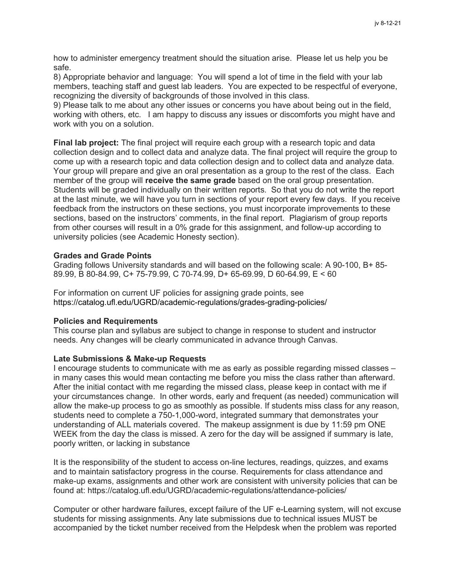how to administer emergency treatment should the situation arise. Please let us help you be safe.

8) Appropriate behavior and language: You will spend a lot of time in the field with your lab members, teaching staff and guest lab leaders. You are expected to be respectful of everyone, recognizing the diversity of backgrounds of those involved in this class.

9) Please talk to me about any other issues or concerns you have about being out in the field, working with others, etc. I am happy to discuss any issues or discomforts you might have and work with you on a solution.

**Final lab project:** The final project will require each group with a research topic and data collection design and to collect data and analyze data. The final project will require the group to come up with a research topic and data collection design and to collect data and analyze data. Your group will prepare and give an oral presentation as a group to the rest of the class. Each member of the group will **receive the same grade** based on the oral group presentation. Students will be graded individually on their written reports. So that you do not write the report at the last minute, we will have you turn in sections of your report every few days. If you receive feedback from the instructors on these sections, you must incorporate improvements to these sections, based on the instructors' comments, in the final report. Plagiarism of group reports from other courses will result in a 0% grade for this assignment, and follow-up according to university policies (see Academic Honesty section).

#### **Grades and Grade Points**

Grading follows University standards and will based on the following scale: A 90-100, B+ 85- 89.99, B 80-84.99, C+ 75-79.99, C 70-74.99, D+ 65-69.99, D 60-64.99, E < 60

For information on current UF policies for assigning grade points, see https://catalog.ufl.edu/UGRD/academic-regulations/grades-grading-policies/

#### **Policies and Requirements**

This course plan and syllabus are subject to change in response to student and instructor needs. Any changes will be clearly communicated in advance through Canvas.

#### **Late Submissions & Make-up Requests**

I encourage students to communicate with me as early as possible regarding missed classes – in many cases this would mean contacting me before you miss the class rather than afterward. After the initial contact with me regarding the missed class, please keep in contact with me if your circumstances change. In other words, early and frequent (as needed) communication will allow the make-up process to go as smoothly as possible. If students miss class for any reason, students need to complete a 750-1,000-word, integrated summary that demonstrates your understanding of ALL materials covered. The makeup assignment is due by 11:59 pm ONE WEEK from the day the class is missed. A zero for the day will be assigned if summary is late, poorly written, or lacking in substance

It is the responsibility of the student to access on-line lectures, readings, quizzes, and exams and to maintain satisfactory progress in the course. Requirements for class attendance and make-up exams, assignments and other work are consistent with university policies that can be found at: https://catalog.ufl.edu/UGRD/academic-regulations/attendance-policies/

Computer or other hardware failures, except failure of the UF e-Learning system, will not excuse students for missing assignments. Any late submissions due to technical issues MUST be accompanied by the ticket number received from the Helpdesk when the problem was reported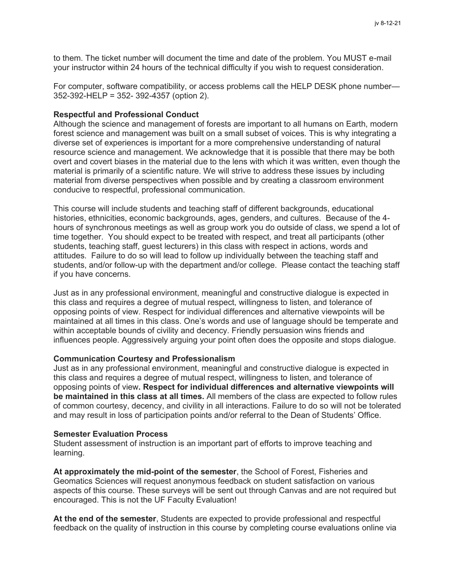to them. The ticket number will document the time and date of the problem. You MUST e-mail your instructor within 24 hours of the technical difficulty if you wish to request consideration.

For computer, software compatibility, or access problems call the HELP DESK phone number— 352-392-HELP = 352- 392-4357 (option 2).

#### **Respectful and Professional Conduct**

Although the science and management of forests are important to all humans on Earth, modern forest science and management was built on a small subset of voices. This is why integrating a diverse set of experiences is important for a more comprehensive understanding of natural resource science and management. We acknowledge that it is possible that there may be both overt and covert biases in the material due to the lens with which it was written, even though the material is primarily of a scientific nature. We will strive to address these issues by including material from diverse perspectives when possible and by creating a classroom environment conducive to respectful, professional communication.

This course will include students and teaching staff of different backgrounds, educational histories, ethnicities, economic backgrounds, ages, genders, and cultures. Because of the 4 hours of synchronous meetings as well as group work you do outside of class, we spend a lot of time together. You should expect to be treated with respect, and treat all participants (other students, teaching staff, guest lecturers) in this class with respect in actions, words and attitudes. Failure to do so will lead to follow up individually between the teaching staff and students, and/or follow-up with the department and/or college. Please contact the teaching staff if you have concerns.

Just as in any professional environment, meaningful and constructive dialogue is expected in this class and requires a degree of mutual respect, willingness to listen, and tolerance of opposing points of view. Respect for individual differences and alternative viewpoints will be maintained at all times in this class. One's words and use of language should be temperate and within acceptable bounds of civility and decency. Friendly persuasion wins friends and influences people. Aggressively arguing your point often does the opposite and stops dialogue.

#### **Communication Courtesy and Professionalism**

Just as in any professional environment, meaningful and constructive dialogue is expected in this class and requires a degree of mutual respect, willingness to listen, and tolerance of opposing points of view**. Respect for individual differences and alternative viewpoints will be maintained in this class at all times.** All members of the class are expected to follow rules of common courtesy, decency, and civility in all interactions. Failure to do so will not be tolerated and may result in loss of participation points and/or referral to the Dean of Students' Office.

#### **Semester Evaluation Process**

Student assessment of instruction is an important part of efforts to improve teaching and learning.

**At approximately the mid-point of the semester**, the School of Forest, Fisheries and Geomatics Sciences will request anonymous feedback on student satisfaction on various aspects of this course. These surveys will be sent out through Canvas and are not required but encouraged. This is not the UF Faculty Evaluation!

**At the end of the semester**, Students are expected to provide professional and respectful feedback on the quality of instruction in this course by completing course evaluations online via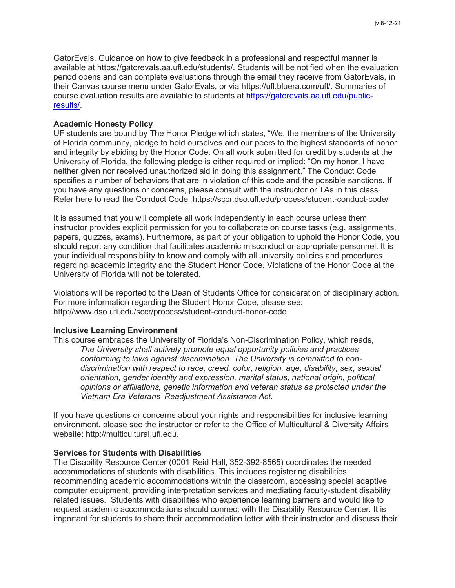GatorEvals. Guidance on how to give feedback in a professional and respectful manner is available at https://gatorevals.aa.ufl.edu/students/. Students will be notified when the evaluation period opens and can complete evaluations through the email they receive from GatorEvals, in their Canvas course menu under GatorEvals, or via https://ufl.bluera.com/ufl/. Summaries of course evaluation results are available to students at [https://gatorevals.aa.ufl.edu/public](https://gatorevals.aa.ufl.edu/public-results/)[results/.](https://gatorevals.aa.ufl.edu/public-results/)

#### **Academic Honesty Policy**

UF students are bound by The Honor Pledge which states, "We, the members of the University of Florida community, pledge to hold ourselves and our peers to the highest standards of honor and integrity by abiding by the Honor Code. On all work submitted for credit by students at the University of Florida, the following pledge is either required or implied: "On my honor, I have neither given nor received unauthorized aid in doing this assignment." The Conduct Code specifies a number of behaviors that are in violation of this code and the possible sanctions. If you have any questions or concerns, please consult with the instructor or TAs in this class. Refer here to read the Conduct Code. https://sccr.dso.ufl.edu/process/student-conduct-code/

It is assumed that you will complete all work independently in each course unless them instructor provides explicit permission for you to collaborate on course tasks (e.g. assignments, papers, quizzes, exams). Furthermore, as part of your obligation to uphold the Honor Code, you should report any condition that facilitates academic misconduct or appropriate personnel. It is your individual responsibility to know and comply with all university policies and procedures regarding academic integrity and the Student Honor Code. Violations of the Honor Code at the University of Florida will not be tolerated.

Violations will be reported to the Dean of Students Office for consideration of disciplinary action. For more information regarding the Student Honor Code, please see: http://www.dso.ufl.edu/sccr/process/student-conduct-honor-code.

### **Inclusive Learning Environment**

This course embraces the University of Florida's Non-Discrimination Policy, which reads, *The University shall actively promote equal opportunity policies and practices conforming to laws against discrimination. The University is committed to nondiscrimination with respect to race, creed, color, religion, age, disability, sex, sexual orientation, gender identity and expression, marital status, national origin, political opinions or affiliations, genetic information and veteran status as protected under the Vietnam Era Veterans' Readjustment Assistance Act.*

If you have questions or concerns about your rights and responsibilities for inclusive learning environment, please see the instructor or refer to the Office of Multicultural & Diversity Affairs website: http://multicultural.ufl.edu.

#### **Services for Students with Disabilities**

The Disability Resource Center (0001 Reid Hall, 352-392-8565) coordinates the needed accommodations of students with disabilities. This includes registering disabilities, recommending academic accommodations within the classroom, accessing special adaptive computer equipment, providing interpretation services and mediating faculty-student disability related issues. Students with disabilities who experience learning barriers and would like to request academic accommodations should connect with the Disability Resource Center. It is important for students to share their accommodation letter with their instructor and discuss their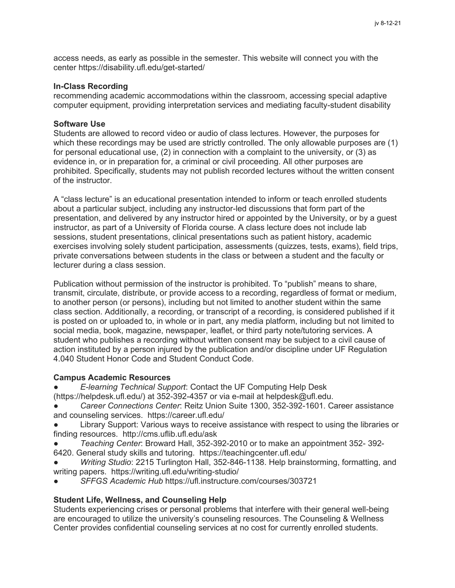access needs, as early as possible in the semester. This website will connect you with the center https://disability.ufl.edu/get-started/

### **In-Class Recording**

recommending academic accommodations within the classroom, accessing special adaptive computer equipment, providing interpretation services and mediating faculty-student disability

#### **Software Use**

Students are allowed to record video or audio of class lectures. However, the purposes for which these recordings may be used are strictly controlled. The only allowable purposes are (1) for personal educational use, (2) in connection with a complaint to the university, or (3) as evidence in, or in preparation for, a criminal or civil proceeding. All other purposes are prohibited. Specifically, students may not publish recorded lectures without the written consent of the instructor.

A "class lecture" is an educational presentation intended to inform or teach enrolled students about a particular subject, including any instructor-led discussions that form part of the presentation, and delivered by any instructor hired or appointed by the University, or by a guest instructor, as part of a University of Florida course. A class lecture does not include lab sessions, student presentations, clinical presentations such as patient history, academic exercises involving solely student participation, assessments (quizzes, tests, exams), field trips, private conversations between students in the class or between a student and the faculty or lecturer during a class session.

Publication without permission of the instructor is prohibited. To "publish" means to share, transmit, circulate, distribute, or provide access to a recording, regardless of format or medium, to another person (or persons), including but not limited to another student within the same class section. Additionally, a recording, or transcript of a recording, is considered published if it is posted on or uploaded to, in whole or in part, any media platform, including but not limited to social media, book, magazine, newspaper, leaflet, or third party note/tutoring services. A student who publishes a recording without written consent may be subject to a civil cause of action instituted by a person injured by the publication and/or discipline under UF Regulation 4.040 Student Honor Code and Student Conduct Code.

### **Campus Academic Resources**

- **E-learning Technical Support: Contact the UF Computing Help Desk**
- (https://helpdesk.ufl.edu/) at 352-392-4357 or via e-mail at helpdesk@ufl.edu.
- *Career Connections Center*: Reitz Union Suite 1300, 352-392-1601. Career assistance and counseling services. https://career.ufl.edu/
- Library Support: Various ways to receive assistance with respect to using the libraries or finding resources. http://cms.uflib.ufl.edu/ask
- *Teaching Center*: Broward Hall, 352-392-2010 or to make an appointment 352- 392- 6420. General study skills and tutoring. https://teachingcenter.ufl.edu/
- Writing Studio: 2215 Turlington Hall, 352-846-1138. Help brainstorming, formatting, and writing papers. https://writing.ufl.edu/writing-studio/
- *SFFGS Academic Hub* https://ufl.instructure.com/courses/303721

### **Student Life, Wellness, and Counseling Help**

Students experiencing crises or personal problems that interfere with their general well-being are encouraged to utilize the university's counseling resources. The Counseling & Wellness Center provides confidential counseling services at no cost for currently enrolled students.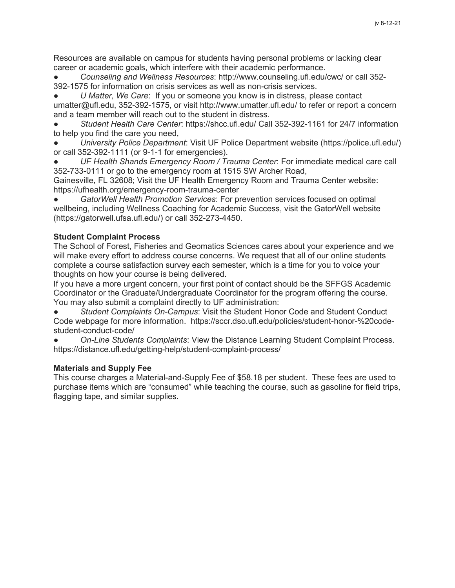Resources are available on campus for students having personal problems or lacking clear career or academic goals, which interfere with their academic performance.

● *Counseling and Wellness Resources*: http://www.counseling.ufl.edu/cwc/ or call 352- 392-1575 for information on crisis services as well as non-crisis services.

U Matter, We Care: If you or someone you know is in distress, please contact umatter@ufl.edu, 352-392-1575, or visit http://www.umatter.ufl.edu/ to refer or report a concern and a team member will reach out to the student in distress.

● *Student Health Care Center*: https://shcc.ufl.edu/ Call 352-392-1161 for 24/7 information to help you find the care you need,

● *University Police Department*: Visit UF Police Department website (https://police.ufl.edu/) or call 352-392-1111 (or 9-1-1 for emergencies).

● *UF Health Shands Emergency Room / Trauma Center*: For immediate medical care call 352-733-0111 or go to the emergency room at 1515 SW Archer Road,

Gainesville, FL 32608; Visit the UF Health Emergency Room and Trauma Center website: https://ufhealth.org/emergency-room-trauma-center

GatorWell Health Promotion Services: For prevention services focused on optimal wellbeing, including Wellness Coaching for Academic Success, visit the GatorWell website (https://gatorwell.ufsa.ufl.edu/) or call 352-273-4450.

# **Student Complaint Process**

The School of Forest, Fisheries and Geomatics Sciences cares about your experience and we will make every effort to address course concerns. We request that all of our online students complete a course satisfaction survey each semester, which is a time for you to voice your thoughts on how your course is being delivered.

If you have a more urgent concern, your first point of contact should be the SFFGS Academic Coordinator or the Graduate/Undergraduate Coordinator for the program offering the course. You may also submit a complaint directly to UF administration:

● *Student Complaints On-Campus*: Visit the Student Honor Code and Student Conduct Code webpage for more information. https://sccr.dso.ufl.edu/policies/student-honor-%20codestudent-conduct-code/

● *On-Line Students Complaints*: View the Distance Learning Student Complaint Process. https://distance.ufl.edu/getting-help/student-complaint-process/

# **Materials and Supply Fee**

This course charges a Material-and-Supply Fee of \$58.18 per student. These fees are used to purchase items which are "consumed" while teaching the course, such as gasoline for field trips, flagging tape, and similar supplies.